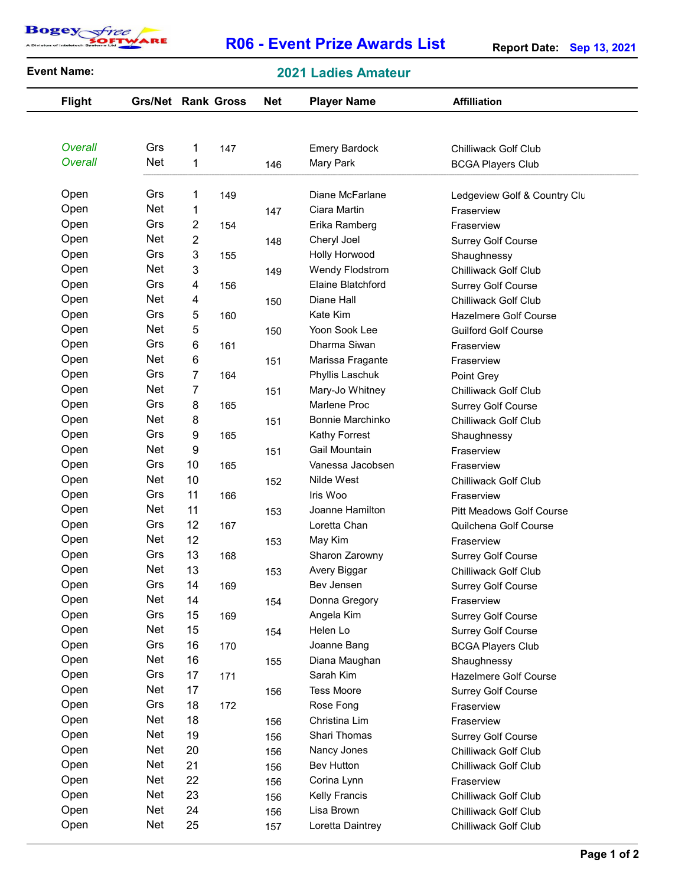

## R06 - Event Prize Awards List

| <b>Flight</b>  | <b>Grs/Net Rank Gross</b> |        |     | <b>Net</b> | <b>Player Name</b>                | <b>Affilliation</b>             |
|----------------|---------------------------|--------|-----|------------|-----------------------------------|---------------------------------|
| <b>Overall</b> | Grs                       |        |     |            |                                   |                                 |
| <b>Overall</b> | <b>Net</b>                | 1<br>1 | 147 |            | <b>Emery Bardock</b><br>Mary Park | <b>Chilliwack Golf Club</b>     |
|                |                           |        |     | 146        |                                   | <b>BCGA Players Club</b>        |
| Open           | Grs                       | 1      | 149 |            | Diane McFarlane                   | Ledgeview Golf & Country Clu    |
| Open           | <b>Net</b>                | 1      |     | 147        | Ciara Martin                      | Fraserview                      |
| Open           | Grs                       | 2      | 154 |            | Erika Ramberg                     | Fraserview                      |
| Open           | <b>Net</b>                | 2      |     | 148        | Cheryl Joel                       | <b>Surrey Golf Course</b>       |
| Open           | Grs                       | 3      | 155 |            | <b>Holly Horwood</b>              | Shaughnessy                     |
| Open           | <b>Net</b>                | 3      |     | 149        | Wendy Flodstrom                   | <b>Chilliwack Golf Club</b>     |
| Open           | Grs                       | 4      | 156 |            | <b>Elaine Blatchford</b>          | <b>Surrey Golf Course</b>       |
| Open           | <b>Net</b>                | 4      |     | 150        | Diane Hall                        | <b>Chilliwack Golf Club</b>     |
| Open           | Grs                       | 5      | 160 |            | Kate Kim                          | Hazelmere Golf Course           |
| Open           | <b>Net</b>                | 5      |     | 150        | Yoon Sook Lee                     | <b>Guilford Golf Course</b>     |
| Open           | Grs                       | 6      | 161 |            | Dharma Siwan                      | Fraserview                      |
| Open           | <b>Net</b>                | 6      |     | 151        | Marissa Fragante                  | Fraserview                      |
| Open           | Grs                       | 7      | 164 |            | Phyllis Laschuk                   | Point Grey                      |
| Open           | <b>Net</b>                | 7      |     | 151        | Mary-Jo Whitney                   | <b>Chilliwack Golf Club</b>     |
| Open           | Grs                       | 8      | 165 |            | Marlene Proc                      | <b>Surrey Golf Course</b>       |
| Open           | <b>Net</b>                | 8      |     | 151        | <b>Bonnie Marchinko</b>           | <b>Chilliwack Golf Club</b>     |
| Open           | Grs                       | 9      | 165 |            | Kathy Forrest                     | Shaughnessy                     |
| Open           | <b>Net</b>                | 9      |     | 151        | Gail Mountain                     | Fraserview                      |
| Open           | Grs                       | 10     | 165 |            | Vanessa Jacobsen                  | Fraserview                      |
| Open           | <b>Net</b>                | 10     |     | 152        | Nilde West                        | <b>Chilliwack Golf Club</b>     |
| Open           | Grs                       | 11     | 166 |            | Iris Woo                          | Fraserview                      |
| Open           | <b>Net</b>                | 11     |     | 153        | Joanne Hamilton                   | <b>Pitt Meadows Golf Course</b> |
| Open           | Grs                       | 12     | 167 |            | Loretta Chan                      | Quilchena Golf Course           |
| Open           | Net                       | 12     |     | 153        | May Kim                           | Fraserview                      |
| Open           | Grs                       | 13     | 168 |            | Sharon Zarowny                    | <b>Surrey Golf Course</b>       |
| Open           | Net                       | 13     |     | 153        | Avery Biggar                      | <b>Chilliwack Golf Club</b>     |
| Open           | Grs                       | 14     | 169 |            | Bev Jensen                        | <b>Surrey Golf Course</b>       |
| Open           | Net                       | 14     |     | 154        | Donna Gregory                     | Fraserview                      |
| Open           | Grs                       | 15     | 169 |            | Angela Kim                        | Surrey Golf Course              |
| Open           | Net                       | 15     |     | 154        | Helen Lo                          | Surrey Golf Course              |
| Open           | Grs                       | 16     | 170 |            | Joanne Bang                       | <b>BCGA Players Club</b>        |
| Open           | Net                       | 16     |     | 155        | Diana Maughan                     | Shaughnessy                     |
| Open           | Grs                       | 17     | 171 |            | Sarah Kim                         | Hazelmere Golf Course           |
| Open           | Net                       | 17     |     | 156        | <b>Tess Moore</b>                 | <b>Surrey Golf Course</b>       |
| Open           | Grs                       | 18     | 172 |            | Rose Fong                         | Fraserview                      |
| Open           | Net                       | 18     |     | 156        | Christina Lim                     | Fraserview                      |
| Open           | Net                       | 19     |     | 156        | Shari Thomas                      | Surrey Golf Course              |
| Open           | Net                       | 20     |     | 156        | Nancy Jones                       | Chilliwack Golf Club            |
| Open           | Net                       | 21     |     | 156        | Bev Hutton                        | Chilliwack Golf Club            |
| Open           | Net                       | 22     |     | 156        | Corina Lynn                       | Fraserview                      |
| Open           | Net                       | 23     |     | 156        | Kelly Francis                     | Chilliwack Golf Club            |
| Open           | Net                       | 24     |     | 156        | Lisa Brown                        | Chilliwack Golf Club            |
| Open           | Net                       | 25     |     | 157        | Loretta Daintrey                  | Chilliwack Golf Club            |